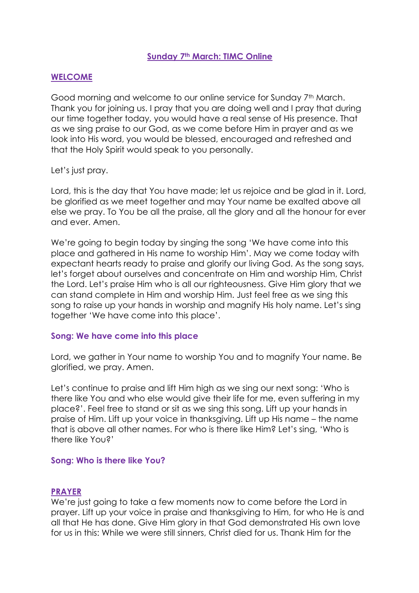# **Sunday 7th March: TIMC Online**

# **WELCOME**

Good morning and welcome to our online service for Sunday 7<sup>th</sup> March. Thank you for joining us. I pray that you are doing well and I pray that during our time together today, you would have a real sense of His presence. That as we sing praise to our God, as we come before Him in prayer and as we look into His word, you would be blessed, encouraged and refreshed and that the Holy Spirit would speak to you personally.

## Let's just pray.

Lord, this is the day that You have made; let us rejoice and be glad in it. Lord, be glorified as we meet together and may Your name be exalted above all else we pray. To You be all the praise, all the glory and all the honour for ever and ever. Amen.

We're going to begin today by singing the song 'We have come into this place and gathered in His name to worship Him'. May we come today with expectant hearts ready to praise and glorify our living God. As the song says, let's forget about ourselves and concentrate on Him and worship Him, Christ the Lord. Let's praise Him who is all our righteousness. Give Him glory that we can stand complete in Him and worship Him. Just feel free as we sing this song to raise up your hands in worship and magnify His holy name. Let's sing together 'We have come into this place'.

## **Song: We have come into this place**

Lord, we gather in Your name to worship You and to magnify Your name. Be glorified, we pray. Amen.

Let's continue to praise and lift Him high as we sing our next song: 'Who is there like You and who else would give their life for me, even suffering in my place?'. Feel free to stand or sit as we sing this song. Lift up your hands in praise of Him. Lift up your voice in thanksgiving. Lift up His name – the name that is above all other names. For who is there like Him? Let's sing, 'Who is there like You?'

## **Song: Who is there like You?**

#### **PRAYER**

We're just going to take a few moments now to come before the Lord in prayer. Lift up your voice in praise and thanksgiving to Him, for who He is and all that He has done. Give Him glory in that God demonstrated His own love for us in this: While we were still sinners, Christ died for us. Thank Him for the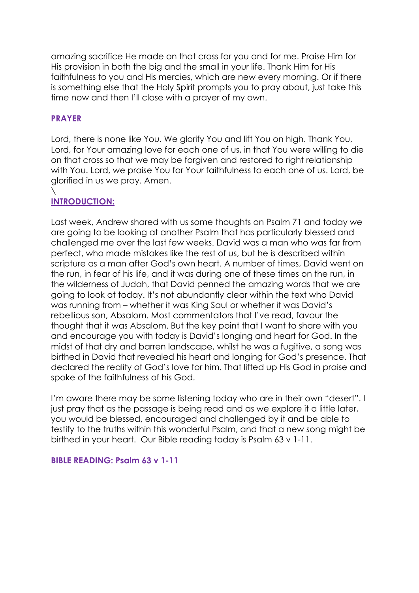amazing sacrifice He made on that cross for you and for me. Praise Him for His provision in both the big and the small in your life. Thank Him for His faithfulness to you and His mercies, which are new every morning. Or if there is something else that the Holy Spirit prompts you to pray about, just take this time now and then I'll close with a prayer of my own.

# **PRAYER**

Lord, there is none like You. We glorify You and lift You on high. Thank You, Lord, for Your amazing love for each one of us, in that You were willing to die on that cross so that we may be forgiven and restored to right relationship with You. Lord, we praise You for Your faithfulness to each one of us. Lord, be glorified in us we pray. Amen.

#### \ **INTRODUCTION:**

Last week, Andrew shared with us some thoughts on Psalm 71 and today we are going to be looking at another Psalm that has particularly blessed and challenged me over the last few weeks. David was a man who was far from perfect, who made mistakes like the rest of us, but he is described within scripture as a man after God's own heart. A number of times, David went on the run, in fear of his life, and it was during one of these times on the run, in the wilderness of Judah, that David penned the amazing words that we are going to look at today. It's not abundantly clear within the text who David was running from – whether it was King Saul or whether it was David's rebellious son, Absalom. Most commentators that I've read, favour the thought that it was Absalom. But the key point that I want to share with you and encourage you with today is David's longing and heart for God. In the midst of that dry and barren landscape, whilst he was a fugitive, a song was birthed in David that revealed his heart and longing for God's presence. That declared the reality of God's love for him. That lifted up His God in praise and spoke of the faithfulness of his God.

I'm aware there may be some listening today who are in their own "desert". I just pray that as the passage is being read and as we explore it a little later, you would be blessed, encouraged and challenged by it and be able to testify to the truths within this wonderful Psalm, and that a new song might be birthed in your heart. Our Bible reading today is Psalm 63 v 1-11.

## **BIBLE READING: Psalm 63 v 1-11**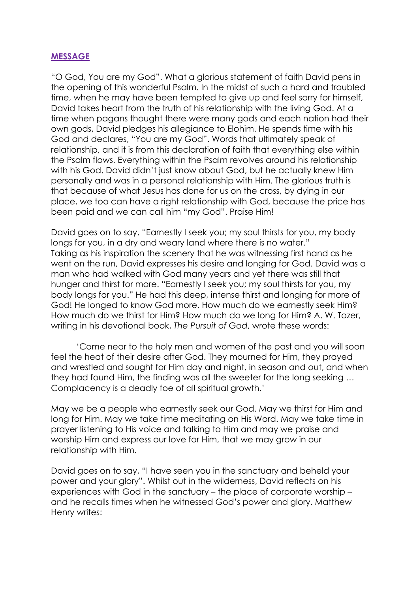# **MESSAGE**

"O God, You are my God". What a glorious statement of faith David pens in the opening of this wonderful Psalm. In the midst of such a hard and troubled time, when he may have been tempted to give up and feel sorry for himself, David takes heart from the truth of his relationship with the living God. At a time when pagans thought there were many gods and each nation had their own gods, David pledges his allegiance to Elohim. He spends time with his God and declares, "You are my God". Words that ultimately speak of relationship, and it is from this declaration of faith that everything else within the Psalm flows. Everything within the Psalm revolves around his relationship with his God. David didn't just know about God, but he actually knew Him personally and was in a personal relationship with Him. The glorious truth is that because of what Jesus has done for us on the cross, by dying in our place, we too can have a right relationship with God, because the price has been paid and we can call him "my God". Praise Him!

David goes on to say, "Earnestly I seek you; my soul thirsts for you, my body longs for you, in a dry and weary land where there is no water." Taking as his inspiration the scenery that he was witnessing first hand as he went on the run, David expresses his desire and longing for God. David was a man who had walked with God many years and yet there was still that hunger and thirst for more. "Earnestly I seek you; my soul thirsts for you, my body longs for you." He had this deep, intense thirst and longing for more of God! He longed to know God more. How much do we earnestly seek Him? How much do we thirst for Him? How much do we long for Him? A. W. Tozer, writing in his devotional book, *The Pursuit of God*, wrote these words:

'Come near to the holy men and women of the past and you will soon feel the heat of their desire after God. They mourned for Him, they prayed and wrestled and sought for Him day and night, in season and out, and when they had found Him, the finding was all the sweeter for the long seeking … Complacency is a deadly foe of all spiritual growth.'

May we be a people who earnestly seek our God. May we thirst for Him and long for Him. May we take time meditating on His Word. May we take time in prayer listening to His voice and talking to Him and may we praise and worship Him and express our love for Him, that we may grow in our relationship with Him.

David goes on to say, "I have seen you in the sanctuary and beheld your power and your glory". Whilst out in the wilderness, David reflects on his experiences with God in the sanctuary – the place of corporate worship – and he recalls times when he witnessed God's power and glory. Matthew Henry writes: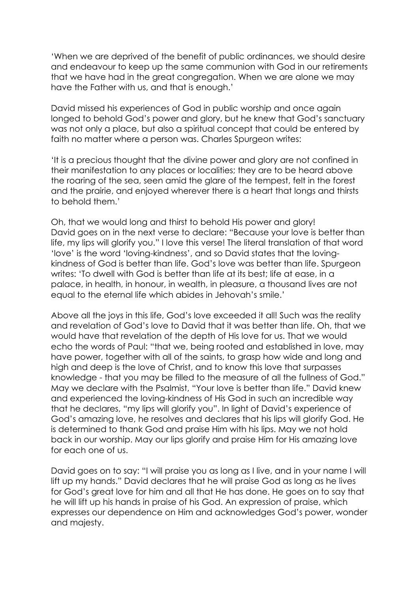'When we are deprived of the benefit of public ordinances, we should desire and endeavour to keep up the same communion with God in our retirements that we have had in the great congregation. When we are alone we may have the Father with us, and that is enough.'

David missed his experiences of God in public worship and once again longed to behold God's power and glory, but he knew that God's sanctuary was not only a place, but also a spiritual concept that could be entered by faith no matter where a person was. Charles Spurgeon writes:

'It is a precious thought that the divine power and glory are not confined in their manifestation to any places or localities; they are to be heard above the roaring of the sea, seen amid the glare of the tempest, felt in the forest and the prairie, and enjoyed wherever there is a heart that longs and thirsts to behold them.'

Oh, that we would long and thirst to behold His power and glory! David goes on in the next verse to declare: "Because your love is better than life, my lips will glorify you." I love this verse! The literal translation of that word 'love' is the word 'loving-kindness', and so David states that the lovingkindness of God is better than life. God's love was better than life. Spurgeon writes: 'To dwell with God is better than life at its best; life at ease, in a palace, in health, in honour, in wealth, in pleasure, a thousand lives are not equal to the eternal life which abides in Jehovah's smile.'

Above all the joys in this life, God's love exceeded it all! Such was the reality and revelation of God's love to David that it was better than life. Oh, that we would have that revelation of the depth of His love for us. That we would echo the words of Paul: "that we, being rooted and established in love, may have power, together with all of the saints, to grasp how wide and long and high and deep is the love of Christ, and to know this love that surpasses knowledge - that you may be filled to the measure of all the fullness of God." May we declare with the Psalmist, "Your love is better than life." David knew and experienced the loving-kindness of His God in such an incredible way that he declares, "my lips will glorify you". In light of David's experience of God's amazing love, he resolves and declares that his lips will glorify God. He is determined to thank God and praise Him with his lips. May we not hold back in our worship. May our lips glorify and praise Him for His amazing love for each one of us.

David goes on to say: "I will praise you as long as I live, and in your name I will lift up my hands." David declares that he will praise God as long as he lives for God's great love for him and all that He has done. He goes on to say that he will lift up his hands in praise of his God. An expression of praise, which expresses our dependence on Him and acknowledges God's power, wonder and majesty.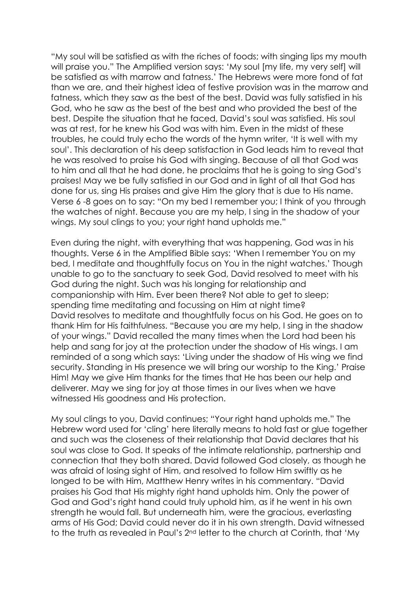"My soul will be satisfied as with the riches of foods; with singing lips my mouth will praise you." The Amplified version says: 'My soul [my life, my very self] will be satisfied as with marrow and fatness.' The Hebrews were more fond of fat than we are, and their highest idea of festive provision was in the marrow and fatness, which they saw as the best of the best. David was fully satisfied in his God, who he saw as the best of the best and who provided the best of the best. Despite the situation that he faced, David's soul was satisfied. His soul was at rest, for he knew his God was with him. Even in the midst of these troubles, he could truly echo the words of the hymn writer, 'It is well with my soul'. This declaration of his deep satisfaction in God leads him to reveal that he was resolved to praise his God with singing. Because of all that God was to him and all that he had done, he proclaims that he is going to sing God's praises! May we be fully satisfied in our God and in light of all that God has done for us, sing His praises and give Him the glory that is due to His name. Verse 6 -8 goes on to say: "On my bed I remember you; I think of you through the watches of night. Because you are my help, I sing in the shadow of your wings. My soul clings to you; your right hand upholds me."

Even during the night, with everything that was happening, God was in his thoughts. Verse 6 in the Amplified Bible says: 'When I remember You on my bed, I meditate and thoughtfully focus on You in the night watches.' Though unable to go to the sanctuary to seek God, David resolved to meet with his God during the night. Such was his longing for relationship and companionship with Him. Ever been there? Not able to get to sleep; spending time meditating and focussing on Him at night time? David resolves to meditate and thoughtfully focus on his God. He goes on to thank Him for His faithfulness. "Because you are my help, I sing in the shadow of your wings." David recalled the many times when the Lord had been his help and sang for joy at the protection under the shadow of His wings. I am reminded of a song which says: 'Living under the shadow of His wing we find security. Standing in His presence we will bring our worship to the King.' Praise Him! May we give Him thanks for the times that He has been our help and deliverer. May we sing for joy at those times in our lives when we have witnessed His goodness and His protection.

My soul clings to you, David continues; "Your right hand upholds me." The Hebrew word used for 'cling' here literally means to hold fast or glue together and such was the closeness of their relationship that David declares that his soul was close to God. It speaks of the intimate relationship, partnership and connection that they both shared. David followed God closely, as though he was afraid of losing sight of Him, and resolved to follow Him swiftly as he longed to be with Him, Matthew Henry writes in his commentary. "David praises his God that His mighty right hand upholds him. Only the power of God and God's right hand could truly uphold him, as if he went in his own strength he would fall. But underneath him, were the gracious, everlasting arms of His God; David could never do it in his own strength. David witnessed to the truth as revealed in Paul's 2nd letter to the church at Corinth, that 'My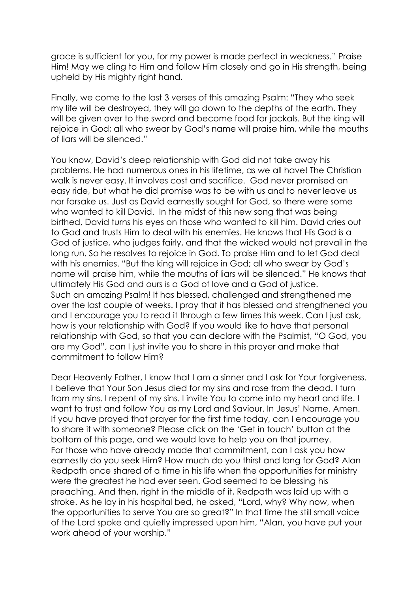grace is sufficient for you, for my power is made perfect in weakness." Praise Him! May we cling to Him and follow Him closely and go in His strength, being upheld by His mighty right hand.

Finally, we come to the last 3 verses of this amazing Psalm: "They who seek my life will be destroyed, they will go down to the depths of the earth. They will be given over to the sword and become food for jackals. But the king will rejoice in God; all who swear by God's name will praise him, while the mouths of liars will be silenced."

You know, David's deep relationship with God did not take away his problems. He had numerous ones in his lifetime, as we all have! The Christian walk is never easy. It involves cost and sacrifice. God never promised an easy ride, but what he did promise was to be with us and to never leave us nor forsake us. Just as David earnestly sought for God, so there were some who wanted to kill David. In the midst of this new song that was being birthed, David turns his eyes on those who wanted to kill him. David cries out to God and trusts Him to deal with his enemies. He knows that His God is a God of justice, who judges fairly, and that the wicked would not prevail in the long run. So he resolves to rejoice in God. To praise Him and to let God deal with his enemies. "But the king will rejoice in God; all who swear by God's name will praise him, while the mouths of liars will be silenced." He knows that ultimately His God and ours is a God of love and a God of justice. Such an amazing Psalm! It has blessed, challenged and strengthened me over the last couple of weeks. I pray that it has blessed and strengthened you and I encourage you to read it through a few times this week. Can I just ask, how is your relationship with God? If you would like to have that personal relationship with God, so that you can declare with the Psalmist, "O God, you are my God", can I just invite you to share in this prayer and make that commitment to follow Him?

Dear Heavenly Father, I know that I am a sinner and I ask for Your forgiveness. I believe that Your Son Jesus died for my sins and rose from the dead. I turn from my sins. I repent of my sins. I invite You to come into my heart and life. I want to trust and follow You as my Lord and Saviour. In Jesus' Name. Amen. If you have prayed that prayer for the first time today, can I encourage you to share it with someone? Please click on the 'Get in touch' button at the bottom of this page, and we would love to help you on that journey. For those who have already made that commitment, can I ask you how earnestly do you seek Him? How much do you thirst and long for God? Alan Redpath once shared of a time in his life when the opportunities for ministry were the greatest he had ever seen. God seemed to be blessing his preaching. And then, right in the middle of it, Redpath was laid up with a stroke. As he lay in his hospital bed, he asked, "Lord, why? Why now, when the opportunities to serve You are so great?" In that time the still small voice of the Lord spoke and quietly impressed upon him, "Alan, you have put your work ahead of your worship."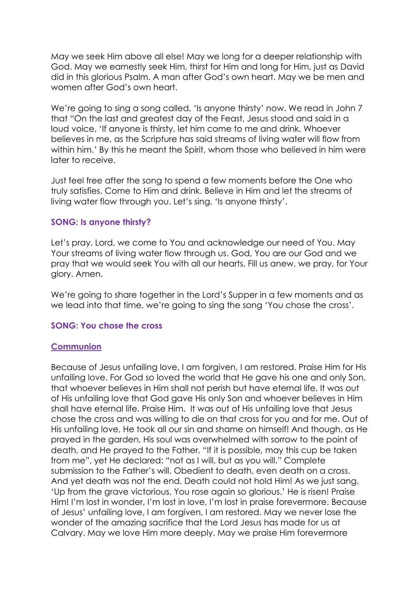May we seek Him above all else! May we long for a deeper relationship with God. May we earnestly seek Him, thirst for Him and long for Him, just as David did in this glorious Psalm. A man after God's own heart. May we be men and women after God's own heart.

We're going to sing a song called, 'Is anyone thirsty' now. We read in John 7 that "On the last and greatest day of the Feast, Jesus stood and said in a loud voice, 'If anyone is thirsty, let him come to me and drink. Whoever believes in me, as the Scripture has said streams of living water will flow from within him.' By this he meant the Spirit, whom those who believed in him were later to receive.

Just feel free after the song to spend a few moments before the One who truly satisfies. Come to Him and drink. Believe in Him and let the streams of living water flow through you. Let's sing, 'Is anyone thirsty'.

#### **SONG: Is anyone thirsty?**

Let's pray. Lord, we come to You and acknowledge our need of You. May Your streams of living water flow through us. God, You are our God and we pray that we would seek You with all our hearts. Fill us anew, we pray, for Your glory. Amen.

We're going to share together in the Lord's Supper in a few moments and as we lead into that time, we're going to sing the song 'You chose the cross'.

#### **SONG: You chose the cross**

#### **Communion**

Because of Jesus unfailing love, I am forgiven, I am restored. Praise Him for His unfailing love. For God so loved the world that He gave his one and only Son, that whoever believes in Him shall not perish but have eternal life. It was out of His unfailing love that God gave His only Son and whoever believes in Him shall have eternal life. Praise Him. It was out of His unfailing love that Jesus chose the cross and was willing to die on that cross for you and for me. Out of His unfailing love, He took all our sin and shame on himself! And though, as He prayed in the garden, His soul was overwhelmed with sorrow to the point of death, and He prayed to the Father, "If it is possible, may this cup be taken from me", yet He declared: "not as I will, but as you will." Complete submission to the Father's will. Obedient to death, even death on a cross. And yet death was not the end. Death could not hold Him! As we just sang, 'Up from the grave victorious, You rose again so glorious.' He is risen! Praise Him! I'm lost in wonder, I'm lost in love, I'm lost in praise forevermore. Because of Jesus' unfailing love, I am forgiven, I am restored. May we never lose the wonder of the amazing sacrifice that the Lord Jesus has made for us at Calvary. May we love Him more deeply. May we praise Him forevermore